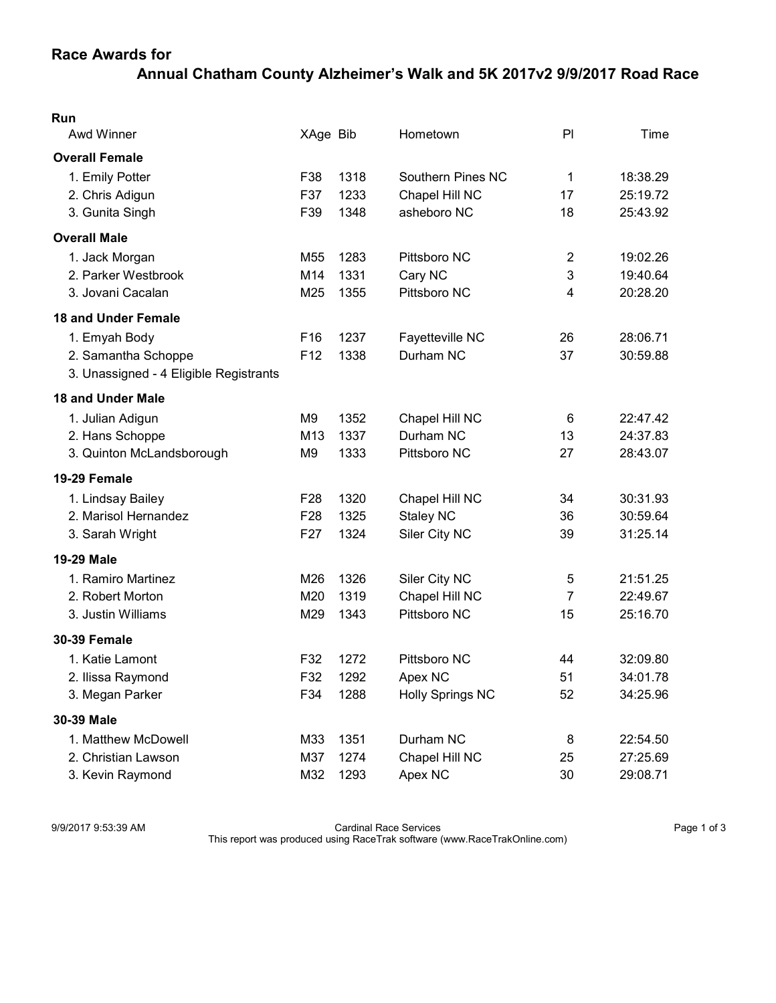## Annual Chatham County Alzheimer's Walk and 5K 2017v2 9/9/2017 Road Race

| Run                                    |                 |      |                         |                |          |
|----------------------------------------|-----------------|------|-------------------------|----------------|----------|
| <b>Awd Winner</b>                      | XAge Bib        |      | Hometown                | P              | Time     |
| <b>Overall Female</b>                  |                 |      |                         |                |          |
| 1. Emily Potter                        | F38             | 1318 | Southern Pines NC       | $\mathbf 1$    | 18:38.29 |
| 2. Chris Adigun                        | F37             | 1233 | Chapel Hill NC          | 17             | 25:19.72 |
| 3. Gunita Singh                        | F39             | 1348 | asheboro NC             | 18             | 25:43.92 |
| <b>Overall Male</b>                    |                 |      |                         |                |          |
| 1. Jack Morgan                         | M55             | 1283 | Pittsboro NC            | $\overline{2}$ | 19:02.26 |
| 2. Parker Westbrook                    | M14             | 1331 | Cary NC                 | 3              | 19:40.64 |
| 3. Jovani Cacalan                      | M25             | 1355 | Pittsboro NC            | 4              | 20:28.20 |
| <b>18 and Under Female</b>             |                 |      |                         |                |          |
| 1. Emyah Body                          | F <sub>16</sub> | 1237 | Fayetteville NC         | 26             | 28:06.71 |
| 2. Samantha Schoppe                    | F12             | 1338 | Durham NC               | 37             | 30:59.88 |
| 3. Unassigned - 4 Eligible Registrants |                 |      |                         |                |          |
| <b>18 and Under Male</b>               |                 |      |                         |                |          |
| 1. Julian Adigun                       | M9              | 1352 | Chapel Hill NC          | 6              | 22:47.42 |
| 2. Hans Schoppe                        | M13             | 1337 | Durham NC               | 13             | 24:37.83 |
| 3. Quinton McLandsborough              | M9              | 1333 | Pittsboro NC            | 27             | 28:43.07 |
| 19-29 Female                           |                 |      |                         |                |          |
| 1. Lindsay Bailey                      | F <sub>28</sub> | 1320 | Chapel Hill NC          | 34             | 30:31.93 |
| 2. Marisol Hernandez                   | F28             | 1325 | <b>Staley NC</b>        | 36             | 30:59.64 |
| 3. Sarah Wright                        | F <sub>27</sub> | 1324 | Siler City NC           | 39             | 31:25.14 |
| 19-29 Male                             |                 |      |                         |                |          |
| 1. Ramiro Martinez                     | M26             | 1326 | Siler City NC           | 5              | 21:51.25 |
| 2. Robert Morton                       | M20             | 1319 | Chapel Hill NC          | $\overline{7}$ | 22:49.67 |
| 3. Justin Williams                     | M29             | 1343 | Pittsboro NC            | 15             | 25:16.70 |
| <b>30-39 Female</b>                    |                 |      |                         |                |          |
| 1. Katie Lamont                        | F32             | 1272 | Pittsboro NC            | 44             | 32:09.80 |
| 2. Ilissa Raymond                      | F32             | 1292 | Apex NC                 | 51             | 34:01.78 |
| 3. Megan Parker                        | F34             | 1288 | <b>Holly Springs NC</b> | 52             | 34:25.96 |
| 30-39 Male                             |                 |      |                         |                |          |
| 1. Matthew McDowell                    | M33             | 1351 | Durham NC               | 8              | 22:54.50 |
| 2. Christian Lawson                    | M37             | 1274 | Chapel Hill NC          | 25             | 27:25.69 |
| 3. Kevin Raymond                       | M32             | 1293 | Apex NC                 | 30             | 29:08.71 |

9/9/2017 9:53:39 AM **Page 1 of 3** Cardinal Race Services **Page 1 of 3** Cardinal Race Services

This report was produced using RaceTrak software (www.RaceTrakOnline.com)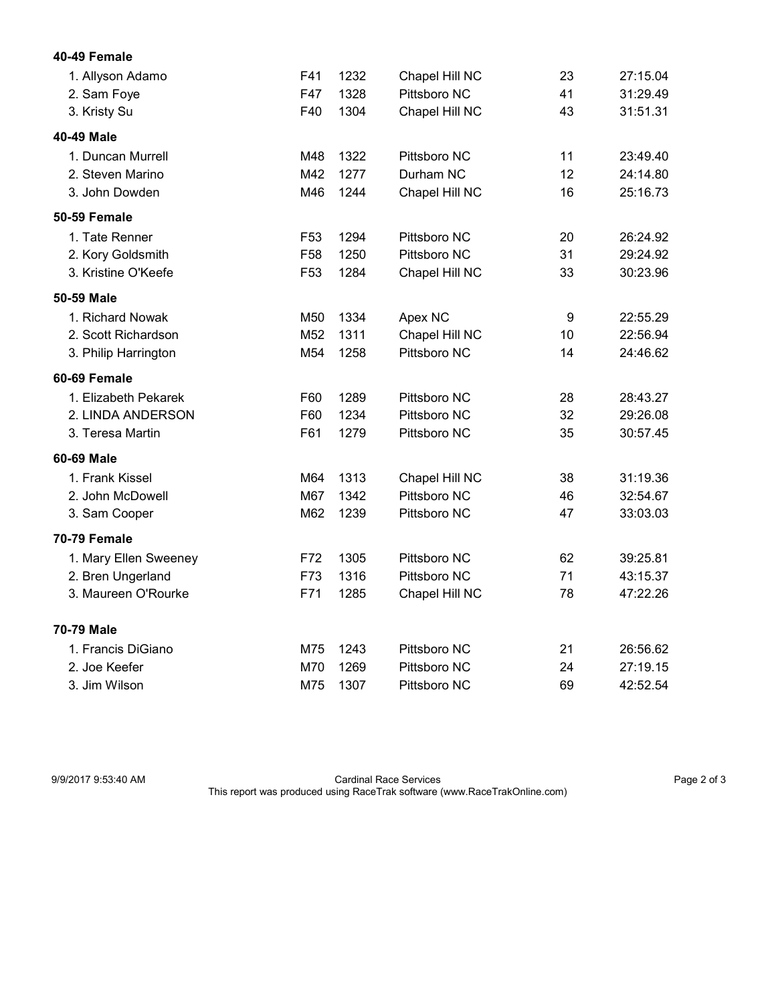| 40-49 Female |
|--------------|
|              |

| 1. Allyson Adamo      | F41             | 1232 | Chapel Hill NC | 23 | 27:15.04 |
|-----------------------|-----------------|------|----------------|----|----------|
| 2. Sam Foye           | F47             | 1328 | Pittsboro NC   | 41 | 31:29.49 |
| 3. Kristy Su          | F40             | 1304 | Chapel Hill NC | 43 | 31:51.31 |
| 40-49 Male            |                 |      |                |    |          |
| 1. Duncan Murrell     | M48             | 1322 | Pittsboro NC   | 11 | 23:49.40 |
| 2. Steven Marino      | M42             | 1277 | Durham NC      | 12 | 24:14.80 |
| 3. John Dowden        | M46             | 1244 | Chapel Hill NC | 16 | 25:16.73 |
| 50-59 Female          |                 |      |                |    |          |
| 1. Tate Renner        | F <sub>53</sub> | 1294 | Pittsboro NC   | 20 | 26:24.92 |
| 2. Kory Goldsmith     | F58             | 1250 | Pittsboro NC   | 31 | 29:24.92 |
| 3. Kristine O'Keefe   | F <sub>53</sub> | 1284 | Chapel Hill NC | 33 | 30:23.96 |
| 50-59 Male            |                 |      |                |    |          |
| 1. Richard Nowak      | M50             | 1334 | Apex NC        | 9  | 22:55.29 |
| 2. Scott Richardson   | M52             | 1311 | Chapel Hill NC | 10 | 22:56.94 |
| 3. Philip Harrington  | M54             | 1258 | Pittsboro NC   | 14 | 24:46.62 |
| 60-69 Female          |                 |      |                |    |          |
| 1. Elizabeth Pekarek  | F60             | 1289 | Pittsboro NC   | 28 | 28:43.27 |
| 2. LINDA ANDERSON     | F60             | 1234 | Pittsboro NC   | 32 | 29:26.08 |
| 3. Teresa Martin      | F61             | 1279 | Pittsboro NC   | 35 | 30:57.45 |
| 60-69 Male            |                 |      |                |    |          |
| 1. Frank Kissel       | M64             | 1313 | Chapel Hill NC | 38 | 31:19.36 |
| 2. John McDowell      | M67             | 1342 | Pittsboro NC   | 46 | 32:54.67 |
| 3. Sam Cooper         | M62             | 1239 | Pittsboro NC   | 47 | 33:03.03 |
| 70-79 Female          |                 |      |                |    |          |
| 1. Mary Ellen Sweeney | F72             | 1305 | Pittsboro NC   | 62 | 39:25.81 |
| 2. Bren Ungerland     | F73             | 1316 | Pittsboro NC   | 71 | 43:15.37 |
| 3. Maureen O'Rourke   | F71             | 1285 | Chapel Hill NC | 78 | 47:22.26 |
| 70-79 Male            |                 |      |                |    |          |
| 1. Francis DiGiano    | M75             | 1243 | Pittsboro NC   | 21 | 26:56.62 |
| 2. Joe Keefer         | M70             | 1269 | Pittsboro NC   | 24 | 27:19.15 |
| 3. Jim Wilson         | M75             | 1307 | Pittsboro NC   | 69 | 42:52.54 |

9/9/2017 9:53:40 AM Cardinal Race Services Page 2 of 3 This report was produced using RaceTrak software (www.RaceTrakOnline.com)